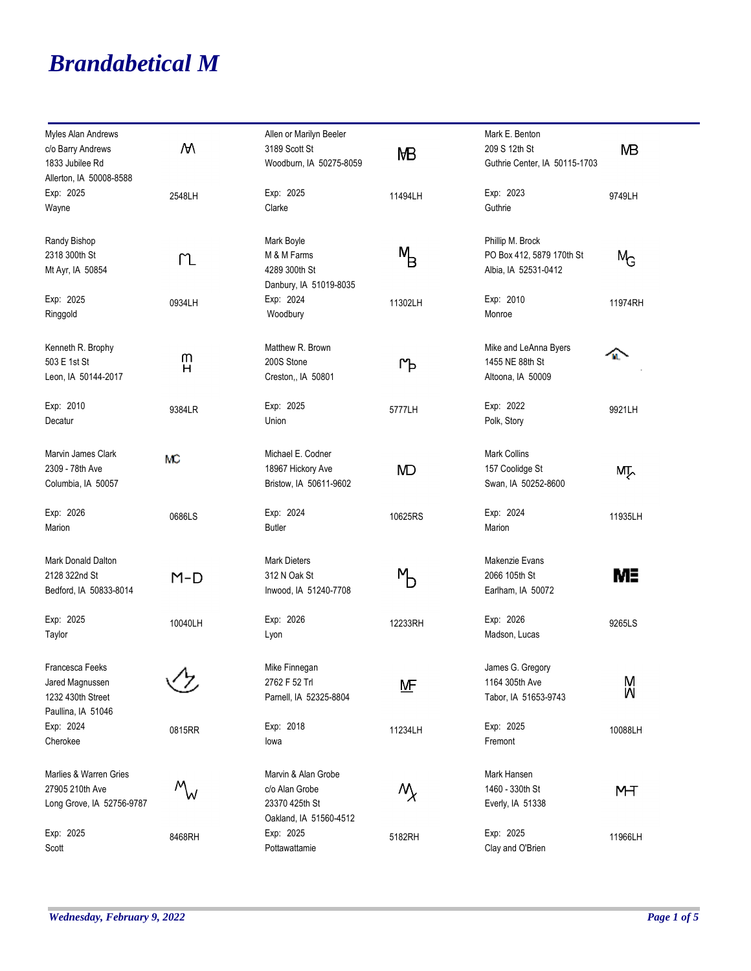## *Brandabetical M*

| Myles Alan Andrews        |         | Allen or Marilyn Beeler |                      | Mark E. Benton                |                |
|---------------------------|---------|-------------------------|----------------------|-------------------------------|----------------|
| c/o Barry Andrews         | W       | 3189 Scott St           | MВ                   | 209 S 12th St                 | <b>MB</b>      |
| 1833 Jubilee Rd           |         | Woodburn, IA 50275-8059 |                      | Guthrie Center, IA 50115-1703 |                |
| Allerton, IA 50008-8588   |         |                         |                      |                               |                |
| Exp: 2025                 | 2548LH  | Exp: 2025               | 11494LH              | Exp: 2023                     | 9749LH         |
| Wayne                     |         | Clarke                  |                      | Guthrie                       |                |
| Randy Bishop              |         | Mark Boyle              |                      | Phillip M. Brock              |                |
| 2318 300th St             |         | M & M Farms             | м<br>В               | PO Box 412, 5879 170th St     | $M_{\text{G}}$ |
| Mt Ayr, IA 50854          | ՐՆ      | 4289 300th St           |                      | Albia, IA 52531-0412          |                |
|                           |         | Danbury, IA 51019-8035  |                      |                               |                |
| Exp: 2025                 | 0934LH  | Exp: 2024               | 11302LH              | Exp: 2010                     | 11974RH        |
| Ringgold                  |         | Woodbury                |                      | Monroe                        |                |
| Kenneth R. Brophy         |         | Matthew R. Brown        |                      | Mike and LeAnna Byers         |                |
| 503 E 1st St              | m       | 200S Stone              |                      | 1455 NE 88th St               | M.             |
| Leon, IA 50144-2017       | н       | Creston,, IA 50801      | ιΨ                   | Altoona, IA 50009             |                |
|                           |         |                         |                      |                               |                |
| Exp: 2010                 | 9384LR  | Exp: 2025               | 5777LH               | Exp: 2022                     | 9921LH         |
| Decatur                   |         | Union                   |                      | Polk, Story                   |                |
| Marvin James Clark        | MC      | Michael E. Codner       |                      | <b>Mark Collins</b>           |                |
| 2309 - 78th Ave           |         | 18967 Hickory Ave       | <b>MD</b>            | 157 Coolidge St               | МŢ.            |
| Columbia, IA 50057        |         | Bristow, IA 50611-9602  |                      | Swan, IA 50252-8600           |                |
| Exp: 2026                 | 0686LS  | Exp: 2024               | 10625RS              | Exp: 2024                     | 11935LH        |
| Marion                    |         | <b>Butler</b>           |                      | Marion                        |                |
| Mark Donald Dalton        |         | <b>Mark Dieters</b>     |                      | Makenzie Evans                |                |
| 2128 322nd St             | $M-D$   | 312 N Oak St            | ŊЬ                   | 2066 105th St                 | MΞ             |
| Bedford, IA 50833-8014    |         | Inwood, IA 51240-7708   |                      | Earlham, IA 50072             |                |
| Exp: 2025                 | 10040LH | Exp: 2026               | 12233RH              | Exp: 2026                     | 9265LS         |
| Taylor                    |         | Lyon                    |                      | Madson, Lucas                 |                |
| Francesca Feeks           | ↗       | Mike Finnegan           |                      | James G. Gregory              |                |
| Jared Magnussen           |         | 2762 F 52 Trl           | <u>MF</u>            | 1164 305th Ave                | M              |
| 1232 430th Street         |         | Parnell, IA 52325-8804  |                      | Tabor, IA 51653-9743          | M              |
| Paullina, IA 51046        |         |                         |                      |                               |                |
| Exp: 2024                 | 0815RR  | Exp: 2018               | 11234LH              | Exp: 2025                     | 10088LH        |
| Cherokee                  |         | lowa                    |                      | Fremont                       |                |
| Marlies & Warren Gries    |         | Marvin & Alan Grobe     |                      | Mark Hansen                   |                |
| 27905 210th Ave           |         | c/o Alan Grobe          | $\mathcal{N}_{\chi}$ | 1460 - 330th St               | MT             |
| Long Grove, IA 52756-9787 | W       | 23370 425th St          |                      | Everly, IA 51338              |                |
|                           |         | Oakland, IA 51560-4512  |                      |                               |                |
| Exp: 2025                 | 8468RH  | Exp: 2025               | 5182RH               | Exp: 2025                     | 11966LH        |
| Scott                     |         | Pottawattamie           |                      | Clay and O'Brien              |                |

۰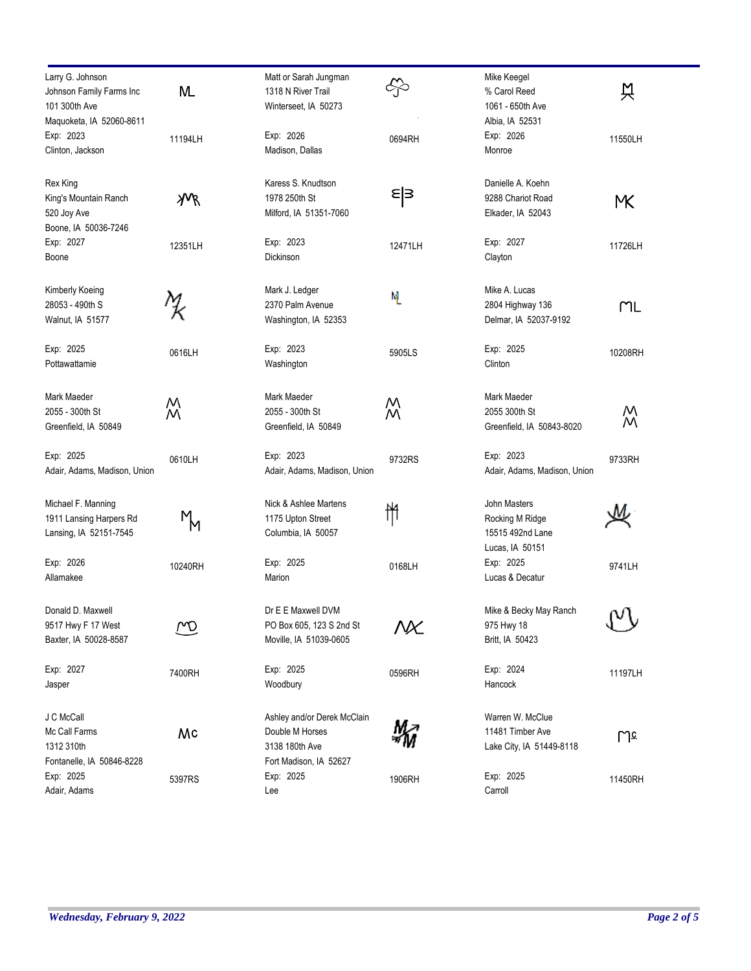| Larry G. Johnson<br>Johnson Family Farms Inc<br>101 300th Ave            | M.             | Matt or Sarah Jungman<br>1318 N River Trail<br>Winterseet, IA 50273                        | ╬       | Mike Keegel<br>% Carol Reed<br>1061 - 650th Ave                        | 엇       |
|--------------------------------------------------------------------------|----------------|--------------------------------------------------------------------------------------------|---------|------------------------------------------------------------------------|---------|
| Maquoketa, IA 52060-8611<br>Exp: 2023<br>Clinton, Jackson                | 11194LH        | Exp: 2026<br>Madison, Dallas                                                               | 0694RH  | Albia, IA 52531<br>Exp: 2026<br>Monroe                                 | 11550LH |
| Rex King<br>King's Mountain Ranch<br>520 Joy Ave<br>Boone, IA 50036-7246 | χVR            | Karess S. Knudtson<br>1978 250th St<br>Milford, IA 51351-7060                              | ε∣з     | Danielle A. Koehn<br>9288 Chariot Road<br>Elkader, IA 52043            | МX.     |
| Exp: 2027<br>Boone                                                       | 12351LH        | Exp: 2023<br>Dickinson                                                                     | 12471LH | Exp: 2027<br>Clayton                                                   | 11726LH |
| Kimberly Koeing<br>28053 - 490th S<br>Walnut, IA 51577                   |                | Mark J. Ledger<br>2370 Palm Avenue<br>Washington, IA 52353                                 | M       | Mike A. Lucas<br>2804 Highway 136<br>Delmar, IA 52037-9192             | ML      |
| Exp: 2025<br>Pottawattamie                                               | 0616LH         | Exp: 2023<br>Washington                                                                    | 5905LS  | Exp: 2025<br>Clinton                                                   | 10208RH |
| Mark Maeder<br>2055 - 300th St<br>Greenfield, IA 50849                   | M<br>M         | Mark Maeder<br>2055 - 300th St<br>Greenfield, IA 50849                                     | W       | Mark Maeder<br>2055 300th St<br>Greenfield, IA 50843-8020              | Μ<br>М  |
| Exp: 2025<br>Adair, Adams, Madison, Union                                | 0610LH         | Exp: 2023<br>Adair, Adams, Madison, Union                                                  | 9732RS  | Exp: 2023<br>Adair, Adams, Madison, Union                              | 9733RH  |
| Michael F. Manning<br>1911 Lansing Harpers Rd<br>Lansing, IA 52151-7545  | $M_{\text{M}}$ | Nick & Ashlee Martens<br>1175 Upton Street<br>Columbia, IA 50057                           | ₩       | John Masters<br>Rocking M Ridge<br>15515 492nd Lane<br>Lucas, IA 50151 |         |
| Exp: 2026<br>Allamakee                                                   | 10240RH        | Exp: 2025<br>Marion                                                                        | 0168LH  | Exp: 2025<br>Lucas & Decatur                                           | 9741LH  |
| Donald D. Maxwell<br>9517 Hwy F 17 West<br>Baxter, IA 50028-8587         | m              | Dr E E Maxwell DVM<br>PO Box 605, 123 S 2nd St<br>Moville, IA 51039-0605                   | NX      | Mike & Becky May Ranch<br>975 Hwy 18<br>Britt, IA 50423                | ιν      |
| Exp: 2027<br>Jasper                                                      | 7400RH         | Exp: 2025<br>Woodbury                                                                      | 0596RH  | Exp: 2024<br>Hancock                                                   | 11197LH |
| J C McCall<br>Mc Call Farms<br>1312 310th<br>Fontanelle, IA 50846-8228   | Mc             | Ashley and/or Derek McClain<br>Double M Horses<br>3138 180th Ave<br>Fort Madison, IA 52627 |         | Warren W. McClue<br>11481 Timber Ave<br>Lake City, IA 51449-8118       | પિշ     |
| Exp: 2025<br>Adair, Adams                                                | 5397RS         | Exp: 2025<br>Lee                                                                           | 1906RH  | Exp: 2025<br>Carroll                                                   | 11450RH |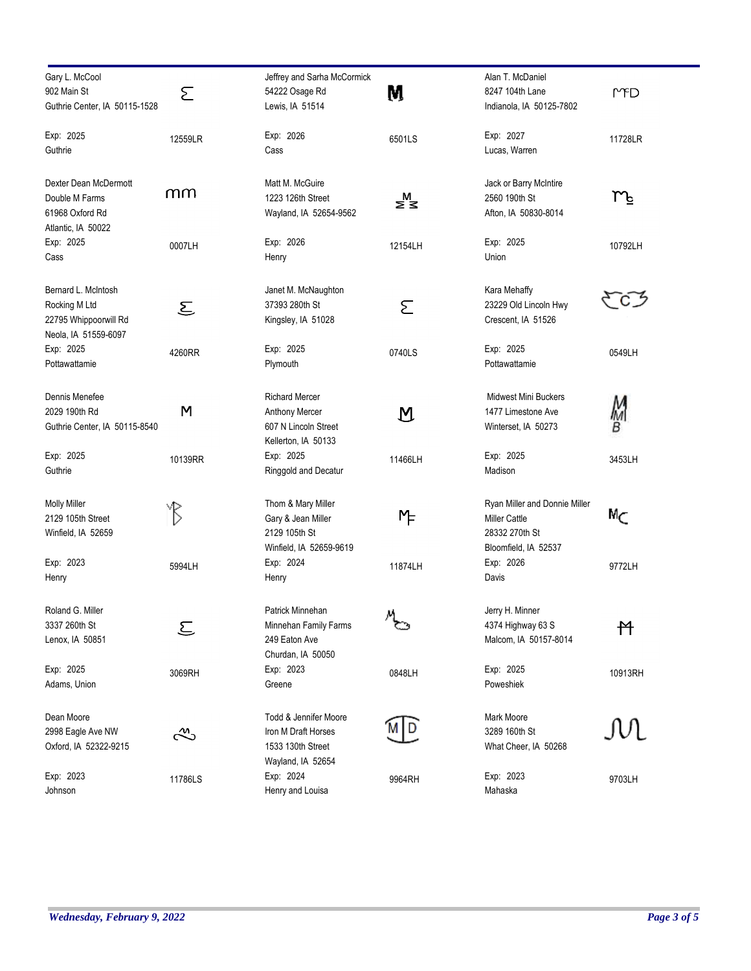| Gary L. McCool<br>902 Main St<br>Guthrie Center, IA 50115-1528                        | Σ                                                                           | Jeffrey and Sarha McCormick<br>54222 Osage Rd<br>Lewis, IA 51514                       | M                 | Alan T. McDaniel<br>8247 104th Lane<br>Indianola, IA 50125-7802                                 | MPD     |
|---------------------------------------------------------------------------------------|-----------------------------------------------------------------------------|----------------------------------------------------------------------------------------|-------------------|-------------------------------------------------------------------------------------------------|---------|
| Exp: 2025<br>Guthrie                                                                  | 12559LR                                                                     | Exp: 2026<br>Cass                                                                      | 6501LS            | Exp: 2027<br>Lucas, Warren                                                                      | 11728LR |
| Dexter Dean McDermott<br>Double M Farms<br>61968 Oxford Rd<br>Atlantic, IA 50022      | നന                                                                          | Matt M. McGuire<br>1223 126th Street<br>Wayland, IA 52654-9562                         | ⋚₹                | Jack or Barry McIntire<br>2560 190th St<br>Afton, IA 50830-8014                                 | m       |
| Exp: 2025<br>Cass                                                                     | 0007LH                                                                      | Exp: 2026<br>Henry                                                                     | 12154LH           | Exp: 2025<br>Union                                                                              | 10792LH |
| Bernard L. McIntosh<br>Rocking M Ltd<br>22795 Whippoorwill Rd<br>Neola, IA 51559-6097 | $\mathcal{E}% _{M_{1},M_{2}}^{\alpha,\beta}(\mathbf{M}_{1},\mathbf{M}_{2})$ | Janet M. McNaughton<br>37393 280th St<br>Kingsley, IA 51028                            | Σ                 | Kara Mehaffy<br>23229 Old Lincoln Hwy<br>Crescent, IA 51526                                     |         |
| Exp: 2025<br>Pottawattamie                                                            | 4260RR                                                                      | Exp: 2025<br>Plymouth                                                                  | 0740LS            | Exp: 2025<br>Pottawattamie                                                                      | 0549LH  |
| Dennis Menefee<br>2029 190th Rd<br>Guthrie Center, IA 50115-8540                      | M                                                                           | <b>Richard Mercer</b><br>Anthony Mercer<br>607 N Lincoln Street<br>Kellerton, IA 50133 | $\bm{\mathsf{M}}$ | Midwest Mini Buckers<br>1477 Limestone Ave<br>Winterset, IA 50273                               | M<br>В  |
| Exp: 2025<br>Guthrie                                                                  | 10139RR                                                                     | Exp: 2025<br>Ringgold and Decatur                                                      | 11466LH           | Exp: 2025<br>Madison                                                                            | 3453LH  |
| <b>Molly Miller</b><br>2129 105th Street<br>Winfield, IA 52659                        | YB                                                                          | Thom & Mary Miller<br>Gary & Jean Miller<br>2129 105th St<br>Winfield, IA 52659-9619   | ΜF                | Ryan Miller and Donnie Miller<br><b>Miller Cattle</b><br>28332 270th St<br>Bloomfield, IA 52537 | Мc      |
| Exp: 2023<br>Henry                                                                    | 5994LH                                                                      | Exp: 2024<br>Henry                                                                     | 11874LH           | Exp: 2026<br>Davis                                                                              | 9772LH  |
| Roland G. Miller<br>3337 260th St<br>Lenox, IA 50851                                  | ج                                                                           | Patrick Minnehan<br>Minnehan Family Farms<br>249 Eaton Ave<br>Churdan, IA 50050        | $M_{\odot}$       | Jerry H. Minner<br>4374 Highway 63 S<br>Malcom, IA 50157-8014                                   | 忏       |
| Exp: 2025<br>Adams, Union                                                             | 3069RH                                                                      | Exp: 2023<br>Greene                                                                    | 0848LH            | Exp: 2025<br>Poweshiek                                                                          | 10913RH |
| Dean Moore<br>2998 Eagle Ave NW<br>Oxford, IA 52322-9215                              | ౘ                                                                           | Todd & Jennifer Moore<br>Iron M Draft Horses<br>1533 130th Street<br>Wayland, IA 52654 |                   | Mark Moore<br>3289 160th St<br>What Cheer, IA 50268                                             | M       |
| Exp: 2023<br>Johnson                                                                  | 11786LS                                                                     | Exp: 2024<br>Henry and Louisa                                                          | 9964RH            | Exp: 2023<br>Mahaska                                                                            | 9703LH  |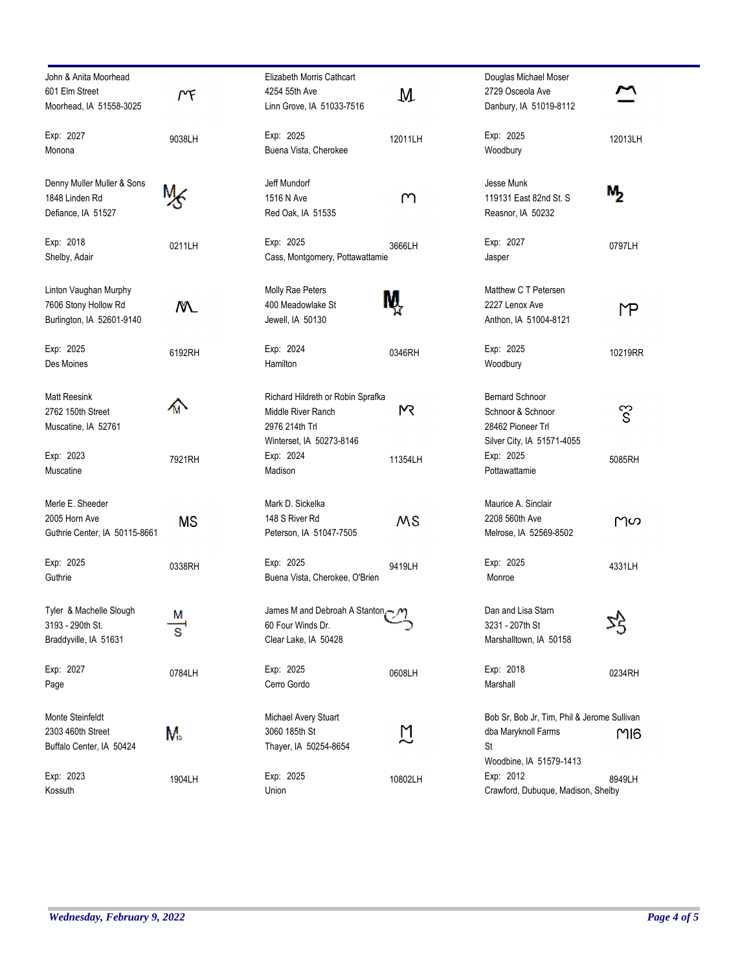| John & Anita Moorhead         |        |
|-------------------------------|--------|
| 601 Elm Street                |        |
| Moorhead, IA 51558-3025       | ٣F     |
| Exp: 2027                     |        |
| Monona                        | 9038LH |
|                               |        |
| Denny Muller Muller & Sons    |        |
| 1848 Linden Rd                |        |
| Defiance, IA 51527            |        |
|                               |        |
| Exp: 2018                     | 0211LH |
| Shelby, Adair                 |        |
|                               |        |
| Linton Vaughan Murphy         |        |
| 7606 Stony Hollow Rd          |        |
| Burlington, IA 52601-9140     |        |
| Exp: 2025                     | 6192RH |
| Des Moines                    |        |
|                               |        |
| <b>Matt Reesink</b>           |        |
| 2762 150th Street             |        |
| Muscatine, IA 52761           |        |
|                               |        |
| Exp: 2023                     | 7921RH |
| Muscatine                     |        |
| Merle E. Sheeder              |        |
| 2005 Horn Ave                 | ΜS     |
| Guthrie Center, IA 50115-8661 |        |
|                               |        |
| Exp: 2025<br>Guthrie          | 0338RH |
|                               |        |
| Tyler & Machelle Slough       |        |
| 3193 - 290th St.              |        |
| Braddyville, IA 51631         |        |
|                               |        |
| Exp: 2027                     | 0784LH |
| Page                          |        |
| Monte Steinfeldt              |        |
| 2303 460th Street             |        |
| Buffalo Center, IA 50424      | М.     |
|                               |        |
| Exp: 2023                     | 1904LH |
| Kossuth                       |        |

| Elizabeth Morris Cathcart             |         |
|---------------------------------------|---------|
| 4254 55th Ave                         | M       |
| Linn Grove, IA 51033-7516             |         |
| Exp: 2025                             |         |
| Buena Vista, Cherokee                 | 12011LH |
|                                       |         |
| Jeff Mundorf                          |         |
| 1516 N Ave                            | М       |
| Red Oak, IA 51535                     |         |
|                                       |         |
| Exp: 2025                             | 3666LH  |
| Cass, Montgomery, Pottawattamie       |         |
|                                       |         |
| Molly Rae Peters                      |         |
| 400 Meadowlake St                     |         |
| Jewell, IA 50130                      |         |
|                                       |         |
| Exp: 2024                             | 0346RH  |
| Hamilton                              |         |
|                                       |         |
| Richard Hildreth or Robin Sprafka     | Μś      |
| Middle River Ranch                    |         |
| 2976 214th Trl                        |         |
| Winterset, IA 50273-8146<br>Exp: 2024 |         |
| Madison                               | 11354LH |
|                                       |         |
| Mark D. Sickelka                      |         |
| 148 S River Rd                        | ΜS      |
| Peterson, IA 51047-7505               |         |
|                                       |         |
| Exp: 2025                             | 9419LH  |
| Buena Vista, Cherokee, O'Brien        |         |
|                                       |         |
| James M and Debroah A Stanton - M     |         |
| 60 Four Winds Dr.                     |         |
| Clear Lake, IA 50428                  |         |
|                                       |         |
| Exp: 2025<br>Cerro Gordo              | 0608LH  |
|                                       |         |
|                                       |         |
| Michael Avery Stuart<br>3060 185th St |         |
| Thayer, IA 50254-8654                 |         |
|                                       |         |
| Exp: 2025                             | 10802LH |
| Union                                 |         |

| Douglas Michael Moser<br>2729 Osceola Ave<br>Danbury, IA 51019-8112                                                          |         |
|------------------------------------------------------------------------------------------------------------------------------|---------|
| Exp: 2025<br>Woodbury                                                                                                        | 12013LH |
| Jesse Munk<br>119131 East 82nd St. S<br>Reasnor, IA 50232                                                                    |         |
| Exp: 2027<br>Jasper                                                                                                          | 0797LH  |
| Matthew C T Petersen<br>2227 Lenox Ave<br>Anthon, IA 51004-8121                                                              |         |
| Exp: 2025<br>Woodbury                                                                                                        | 10219RR |
| <b>Bernard Schnoor</b><br>Schnoor & Schnoor<br>28462 Pioneer Trl<br>Silver City, IA 51571-4055<br>Exp: 2025<br>Pottawattamie | 5085RH  |
| Maurice A. Sinclair<br>2208 560th Ave<br>Melrose, IA 52569-8502                                                              | Μω      |
| Exp: 2025<br>Monroe                                                                                                          | 4331LH  |
| Dan and Lisa Starn<br>3231 - 207th St<br>Marshalltown, IA 50158                                                              | ۸       |
| Exp: 2018<br>Marshall                                                                                                        | 0234RH  |
| Bob Sr, Bob Jr, Tim, Phil & Jerome Sullivan<br>dba Maryknoll Farms<br>St                                                     | MI6     |
| Woodbine, IA 51579-1413<br>Exp: 2012<br>Crawford, Dubuque, Madison, Shelby                                                   | 8949LH  |